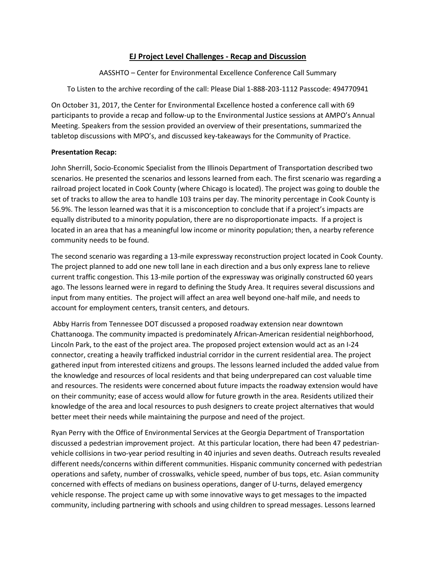## **EJ Project Level Challenges - Recap and Discussion**

AASSHTO – Center for Environmental Excellence Conference Call Summary

To Listen to the archive recording of the call: Please Dial 1-888-203-1112 Passcode: 494770941

On October 31, 2017, the Center for Environmental Excellence hosted a conference call with 69 participants to provide a recap and follow-up to the Environmental Justice sessions at AMPO's Annual Meeting. Speakers from the session provided an overview of their presentations, summarized the tabletop discussions with MPO's, and discussed key-takeaways for the Community of Practice.

## **Presentation Recap:**

John Sherrill, Socio-Economic Specialist from the Illinois Department of Transportation described two scenarios. He presented the scenarios and lessons learned from each. The first scenario was regarding a railroad project located in Cook County (where Chicago is located). The project was going to double the set of tracks to allow the area to handle 103 trains per day. The minority percentage in Cook County is 56.9%. The lesson learned was that it is a misconception to conclude that if a project's impacts are equally distributed to a minority population, there are no disproportionate impacts. If a project is located in an area that has a meaningful low income or minority population; then, a nearby reference community needs to be found.

The second scenario was regarding a 13-mile expressway reconstruction project located in Cook County. The project planned to add one new toll lane in each direction and a bus only express lane to relieve current traffic congestion. This 13-mile portion of the expressway was originally constructed 60 years ago. The lessons learned were in regard to defining the Study Area. It requires several discussions and input from many entities. The project will affect an area well beyond one-half mile, and needs to account for employment centers, transit centers, and detours.

Abby Harris from Tennessee DOT discussed a proposed roadway extension near downtown Chattanooga. The community impacted is predominately African-American residential neighborhood, Lincoln Park, to the east of the project area. The proposed project extension would act as an I-24 connector, creating a heavily trafficked industrial corridor in the current residential area. The project gathered input from interested citizens and groups. The lessons learned included the added value from the knowledge and resources of local residents and that being underprepared can cost valuable time and resources. The residents were concerned about future impacts the roadway extension would have on their community; ease of access would allow for future growth in the area. Residents utilized their knowledge of the area and local resources to push designers to create project alternatives that would better meet their needs while maintaining the purpose and need of the project.

Ryan Perry with the Office of Environmental Services at the Georgia Department of Transportation discussed a pedestrian improvement project. At this particular location, there had been 47 pedestrianvehicle collisions in two-year period resulting in 40 injuries and seven deaths. Outreach results revealed different needs/concerns within different communities. Hispanic community concerned with pedestrian operations and safety, number of crosswalks, vehicle speed, number of bus tops, etc. Asian community concerned with effects of medians on business operations, danger of U-turns, delayed emergency vehicle response. The project came up with some innovative ways to get messages to the impacted community, including partnering with schools and using children to spread messages. Lessons learned